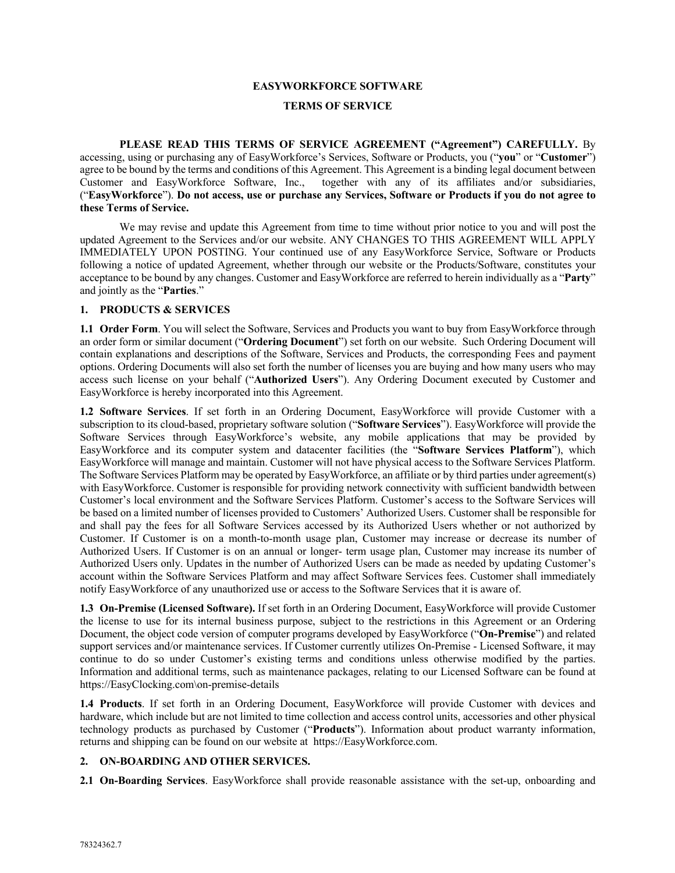# **EASYWORKFORCE SOFTWARE TERMS OF SERVICE**

**PLEASE READ THIS TERMS OF SERVICE AGREEMENT ("Agreement") CAREFULLY.** By accessing, using or purchasing any of EasyWorkforce's Services, Software or Products, you ("**you**" or "**Customer**") agree to be bound by the terms and conditions of this Agreement. This Agreement is a binding legal document between Customer and EasyWorkforce Software, Inc., together with any of its affiliates and/or subsidiaries, ("**EasyWorkforce**"). **Do not access, use or purchase any Services, Software or Products if you do not agree to these Terms of Service.** 

We may revise and update this Agreement from time to time without prior notice to you and will post the updated Agreement to the Services and/or our website. ANY CHANGES TO THIS AGREEMENT WILL APPLY IMMEDIATELY UPON POSTING. Your continued use of any EasyWorkforce Service, Software or Products following a notice of updated Agreement, whether through our website or the Products/Software, constitutes your acceptance to be bound by any changes. Customer and EasyWorkforce are referred to herein individually as a "**Party**" and jointly as the "**Parties**."

#### **1. PRODUCTS & SERVICES**

**1.1 Order Form**. You will select the Software, Services and Products you want to buy from EasyWorkforce through an order form or similar document ("**Ordering Document**") set forth on our website. Such Ordering Document will contain explanations and descriptions of the Software, Services and Products, the corresponding Fees and payment options. Ordering Documents will also set forth the number of licenses you are buying and how many users who may access such license on your behalf ("**Authorized Users**"). Any Ordering Document executed by Customer and EasyWorkforce is hereby incorporated into this Agreement.

**1.2 Software Services**. If set forth in an Ordering Document, EasyWorkforce will provide Customer with a subscription to its cloud-based, proprietary software solution ("**Software Services**"). EasyWorkforce will provide the Software Services through EasyWorkforce's website, any mobile applications that may be provided by EasyWorkforce and its computer system and datacenter facilities (the "**Software Services Platform**"), which EasyWorkforce will manage and maintain. Customer will not have physical access to the Software Services Platform. The Software Services Platform may be operated by EasyWorkforce, an affiliate or by third parties under agreement(s) with EasyWorkforce. Customer is responsible for providing network connectivity with sufficient bandwidth between Customer's local environment and the Software Services Platform. Customer's access to the Software Services will be based on a limited number of licenses provided to Customers' Authorized Users. Customer shall be responsible for and shall pay the fees for all Software Services accessed by its Authorized Users whether or not authorized by Customer. If Customer is on a month-to-month usage plan, Customer may increase or decrease its number of Authorized Users. If Customer is on an annual or longer- term usage plan, Customer may increase its number of Authorized Users only. Updates in the number of Authorized Users can be made as needed by updating Customer's account within the Software Services Platform and may affect Software Services fees. Customer shall immediately notify EasyWorkforce of any unauthorized use or access to the Software Services that it is aware of.

**1.3 On-Premise (Licensed Software).** If set forth in an Ordering Document, EasyWorkforce will provide Customer the license to use for its internal business purpose, subject to the restrictions in this Agreement or an Ordering Document, the object code version of computer programs developed by EasyWorkforce ("**On-Premise**") and related support services and/or maintenance services. If Customer currently utilizes On-Premise - Licensed Software, it may continue to do so under Customer's existing terms and conditions unless otherwise modified by the parties. Information and additional terms, such as maintenance packages, relating to our Licensed Software can be found at https://EasyClocking.com\on-premise-details

**1.4 Products**. If set forth in an Ordering Document, EasyWorkforce will provide Customer with devices and hardware, which include but are not limited to time collection and access control units, accessories and other physical technology products as purchased by Customer ("**Products**"). Information about product warranty information, returns and shipping can be found on our website at https://EasyWorkforce.com.

#### **2. ON-BOARDING AND OTHER SERVICES.**

**2.1 On-Boarding Services**. EasyWorkforce shall provide reasonable assistance with the set-up, onboarding and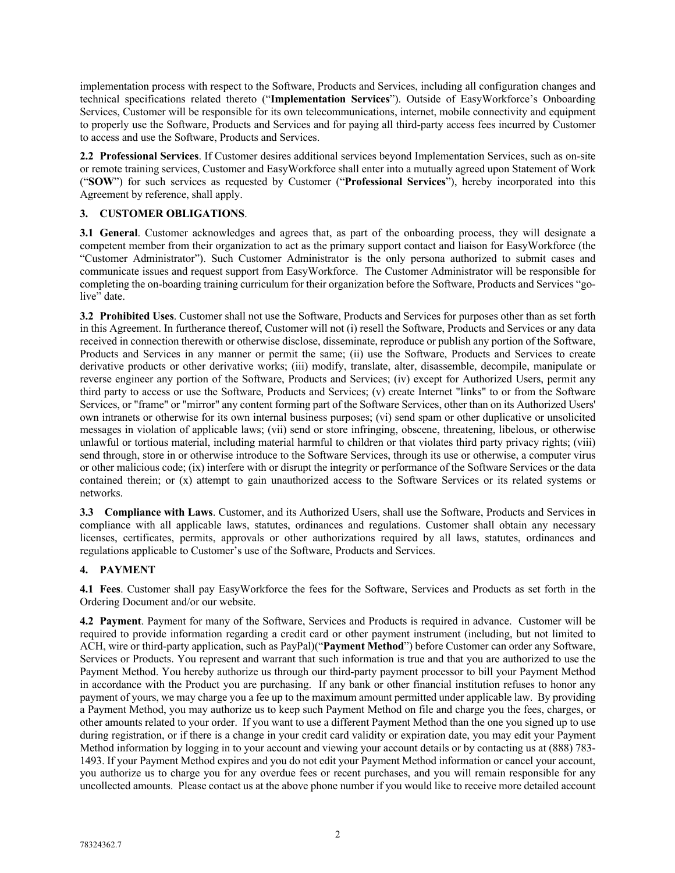implementation process with respect to the Software, Products and Services, including all configuration changes and technical specifications related thereto ("**Implementation Services**"). Outside of EasyWorkforce's Onboarding Services, Customer will be responsible for its own telecommunications, internet, mobile connectivity and equipment to properly use the Software, Products and Services and for paying all third-party access fees incurred by Customer to access and use the Software, Products and Services.

**2.2 Professional Services**. If Customer desires additional services beyond Implementation Services, such as on-site or remote training services, Customer and EasyWorkforce shall enter into a mutually agreed upon Statement of Work ("**SOW**") for such services as requested by Customer ("**Professional Services**"), hereby incorporated into this Agreement by reference, shall apply.

### **3. CUSTOMER OBLIGATIONS**.

**3.1 General**. Customer acknowledges and agrees that, as part of the onboarding process, they will designate a competent member from their organization to act as the primary support contact and liaison for EasyWorkforce (the "Customer Administrator"). Such Customer Administrator is the only persona authorized to submit cases and communicate issues and request support from EasyWorkforce. The Customer Administrator will be responsible for completing the on-boarding training curriculum for their organization before the Software, Products and Services "golive" date.

**3.2 Prohibited Uses**. Customer shall not use the Software, Products and Services for purposes other than as set forth in this Agreement. In furtherance thereof, Customer will not (i) resell the Software, Products and Services or any data received in connection therewith or otherwise disclose, disseminate, reproduce or publish any portion of the Software, Products and Services in any manner or permit the same; (ii) use the Software, Products and Services to create derivative products or other derivative works; (iii) modify, translate, alter, disassemble, decompile, manipulate or reverse engineer any portion of the Software, Products and Services; (iv) except for Authorized Users, permit any third party to access or use the Software, Products and Services; (v) create Internet "links" to or from the Software Services, or "frame" or "mirror" any content forming part of the Software Services, other than on its Authorized Users' own intranets or otherwise for its own internal business purposes; (vi) send spam or other duplicative or unsolicited messages in violation of applicable laws; (vii) send or store infringing, obscene, threatening, libelous, or otherwise unlawful or tortious material, including material harmful to children or that violates third party privacy rights; (viii) send through, store in or otherwise introduce to the Software Services, through its use or otherwise, a computer virus or other malicious code; (ix) interfere with or disrupt the integrity or performance of the Software Services or the data contained therein; or (x) attempt to gain unauthorized access to the Software Services or its related systems or networks.

**3.3 Compliance with Laws**. Customer, and its Authorized Users, shall use the Software, Products and Services in compliance with all applicable laws, statutes, ordinances and regulations. Customer shall obtain any necessary licenses, certificates, permits, approvals or other authorizations required by all laws, statutes, ordinances and regulations applicable to Customer's use of the Software, Products and Services.

#### **4. PAYMENT**

**4.1 Fees**. Customer shall pay EasyWorkforce the fees for the Software, Services and Products as set forth in the Ordering Document and/or our website.

**4.2 Payment**. Payment for many of the Software, Services and Products is required in advance. Customer will be required to provide information regarding a credit card or other payment instrument (including, but not limited to ACH, wire or third-party application, such as PayPal)("**Payment Method**") before Customer can order any Software, Services or Products. You represent and warrant that such information is true and that you are authorized to use the Payment Method. You hereby authorize us through our third-party payment processor to bill your Payment Method in accordance with the Product you are purchasing. If any bank or other financial institution refuses to honor any payment of yours, we may charge you a fee up to the maximum amount permitted under applicable law. By providing a Payment Method, you may authorize us to keep such Payment Method on file and charge you the fees, charges, or other amounts related to your order. If you want to use a different Payment Method than the one you signed up to use during registration, or if there is a change in your credit card validity or expiration date, you may edit your Payment Method information by logging in to your account and viewing your account details or by contacting us at (888) 783- 1493. If your Payment Method expires and you do not edit your Payment Method information or cancel your account, you authorize us to charge you for any overdue fees or recent purchases, and you will remain responsible for any uncollected amounts. Please contact us at the above phone number if you would like to receive more detailed account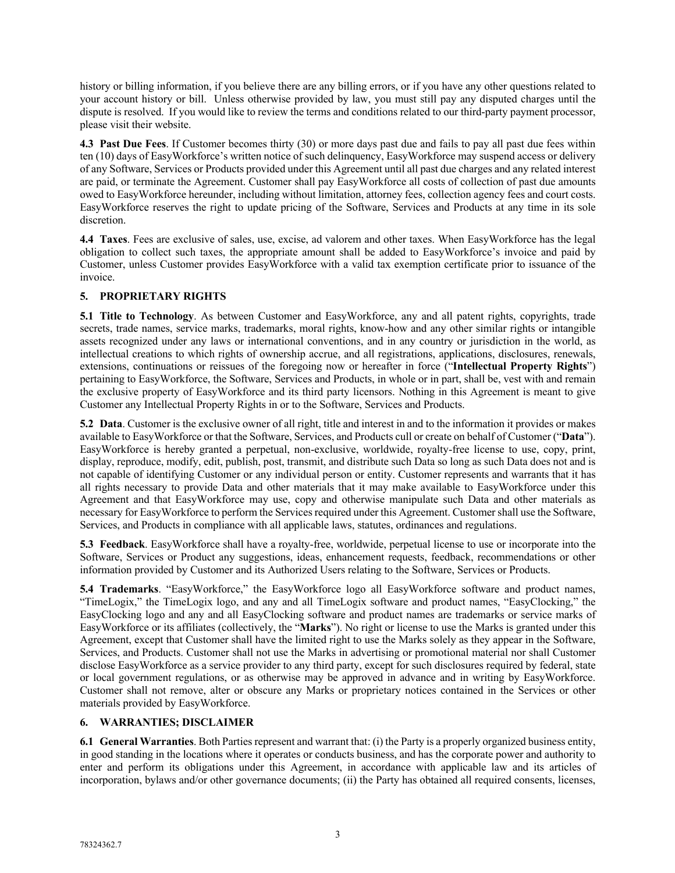history or billing information, if you believe there are any billing errors, or if you have any other questions related to your account history or bill. Unless otherwise provided by law, you must still pay any disputed charges until the dispute is resolved. If you would like to review the terms and conditions related to our third-party payment processor, please visit their website.

**4.3 Past Due Fees**. If Customer becomes thirty (30) or more days past due and fails to pay all past due fees within ten (10) days of EasyWorkforce's written notice of such delinquency, EasyWorkforce may suspend access or delivery of any Software, Services or Products provided under this Agreement until all past due charges and any related interest are paid, or terminate the Agreement. Customer shall pay EasyWorkforce all costs of collection of past due amounts owed to EasyWorkforce hereunder, including without limitation, attorney fees, collection agency fees and court costs. EasyWorkforce reserves the right to update pricing of the Software, Services and Products at any time in its sole discretion.

**4.4 Taxes**. Fees are exclusive of sales, use, excise, ad valorem and other taxes. When EasyWorkforce has the legal obligation to collect such taxes, the appropriate amount shall be added to EasyWorkforce's invoice and paid by Customer, unless Customer provides EasyWorkforce with a valid tax exemption certificate prior to issuance of the invoice.

# **5. PROPRIETARY RIGHTS**

**5.1 Title to Technology**. As between Customer and EasyWorkforce, any and all patent rights, copyrights, trade secrets, trade names, service marks, trademarks, moral rights, know-how and any other similar rights or intangible assets recognized under any laws or international conventions, and in any country or jurisdiction in the world, as intellectual creations to which rights of ownership accrue, and all registrations, applications, disclosures, renewals, extensions, continuations or reissues of the foregoing now or hereafter in force ("**Intellectual Property Rights**") pertaining to EasyWorkforce, the Software, Services and Products, in whole or in part, shall be, vest with and remain the exclusive property of EasyWorkforce and its third party licensors. Nothing in this Agreement is meant to give Customer any Intellectual Property Rights in or to the Software, Services and Products.

**5.2 Data**. Customer is the exclusive owner of all right, title and interest in and to the information it provides or makes available to EasyWorkforce or that the Software, Services, and Products cull or create on behalf of Customer ("**Data**"). EasyWorkforce is hereby granted a perpetual, non-exclusive, worldwide, royalty-free license to use, copy, print, display, reproduce, modify, edit, publish, post, transmit, and distribute such Data so long as such Data does not and is not capable of identifying Customer or any individual person or entity. Customer represents and warrants that it has all rights necessary to provide Data and other materials that it may make available to EasyWorkforce under this Agreement and that EasyWorkforce may use, copy and otherwise manipulate such Data and other materials as necessary for EasyWorkforce to perform the Services required under this Agreement. Customer shall use the Software, Services, and Products in compliance with all applicable laws, statutes, ordinances and regulations.

**5.3 Feedback**. EasyWorkforce shall have a royalty-free, worldwide, perpetual license to use or incorporate into the Software, Services or Product any suggestions, ideas, enhancement requests, feedback, recommendations or other information provided by Customer and its Authorized Users relating to the Software, Services or Products.

**5.4 Trademarks**. "EasyWorkforce," the EasyWorkforce logo all EasyWorkforce software and product names, "TimeLogix," the TimeLogix logo, and any and all TimeLogix software and product names, "EasyClocking," the EasyClocking logo and any and all EasyClocking software and product names are trademarks or service marks of EasyWorkforce or its affiliates (collectively, the "**Marks**"). No right or license to use the Marks is granted under this Agreement, except that Customer shall have the limited right to use the Marks solely as they appear in the Software, Services, and Products. Customer shall not use the Marks in advertising or promotional material nor shall Customer disclose EasyWorkforce as a service provider to any third party, except for such disclosures required by federal, state or local government regulations, or as otherwise may be approved in advance and in writing by EasyWorkforce. Customer shall not remove, alter or obscure any Marks or proprietary notices contained in the Services or other materials provided by EasyWorkforce.

# **6. WARRANTIES; DISCLAIMER**

**6.1 General Warranties**. Both Parties represent and warrant that: (i) the Party is a properly organized business entity, in good standing in the locations where it operates or conducts business, and has the corporate power and authority to enter and perform its obligations under this Agreement, in accordance with applicable law and its articles of incorporation, bylaws and/or other governance documents; (ii) the Party has obtained all required consents, licenses,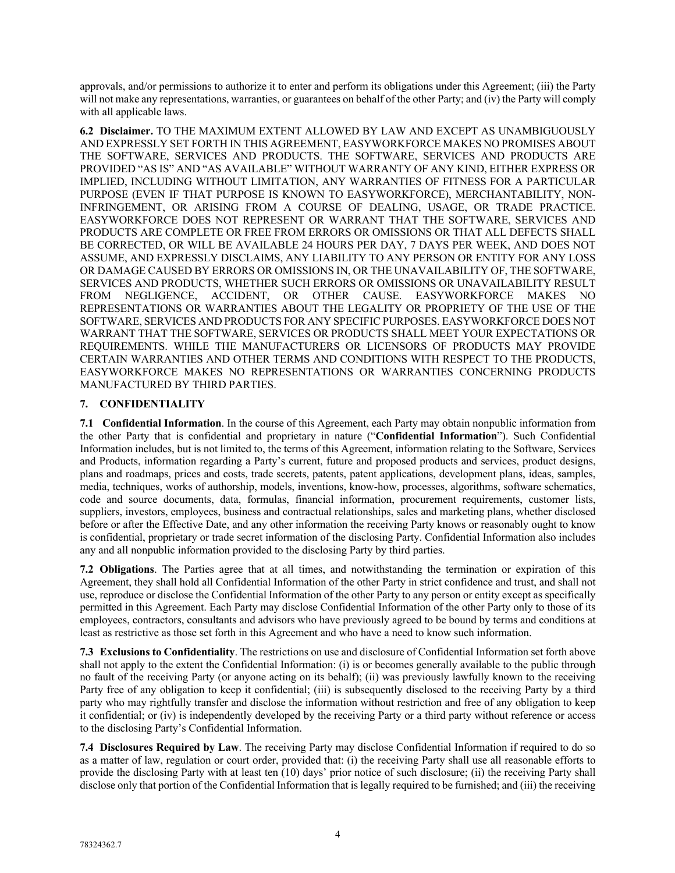approvals, and/or permissions to authorize it to enter and perform its obligations under this Agreement; (iii) the Party will not make any representations, warranties, or guarantees on behalf of the other Party; and (iv) the Party will comply with all applicable laws.

**6.2 Disclaimer.** TO THE MAXIMUM EXTENT ALLOWED BY LAW AND EXCEPT AS UNAMBIGUOUSLY AND EXPRESSLY SET FORTH IN THIS AGREEMENT, EASYWORKFORCE MAKES NO PROMISES ABOUT THE SOFTWARE, SERVICES AND PRODUCTS. THE SOFTWARE, SERVICES AND PRODUCTS ARE PROVIDED "AS IS" AND "AS AVAILABLE" WITHOUT WARRANTY OF ANY KIND, EITHER EXPRESS OR IMPLIED, INCLUDING WITHOUT LIMITATION, ANY WARRANTIES OF FITNESS FOR A PARTICULAR PURPOSE (EVEN IF THAT PURPOSE IS KNOWN TO EASYWORKFORCE), MERCHANTABILITY, NON-INFRINGEMENT, OR ARISING FROM A COURSE OF DEALING, USAGE, OR TRADE PRACTICE. EASYWORKFORCE DOES NOT REPRESENT OR WARRANT THAT THE SOFTWARE, SERVICES AND PRODUCTS ARE COMPLETE OR FREE FROM ERRORS OR OMISSIONS OR THAT ALL DEFECTS SHALL BE CORRECTED, OR WILL BE AVAILABLE 24 HOURS PER DAY, 7 DAYS PER WEEK, AND DOES NOT ASSUME, AND EXPRESSLY DISCLAIMS, ANY LIABILITY TO ANY PERSON OR ENTITY FOR ANY LOSS OR DAMAGE CAUSED BY ERRORS OR OMISSIONS IN, OR THE UNAVAILABILITY OF, THE SOFTWARE, SERVICES AND PRODUCTS, WHETHER SUCH ERRORS OR OMISSIONS OR UNAVAILABILITY RESULT FROM NEGLIGENCE, ACCIDENT, OR OTHER CAUSE. EASYWORKFORCE MAKES NO REPRESENTATIONS OR WARRANTIES ABOUT THE LEGALITY OR PROPRIETY OF THE USE OF THE SOFTWARE, SERVICES AND PRODUCTS FOR ANY SPECIFIC PURPOSES. EASYWORKFORCE DOES NOT WARRANT THAT THE SOFTWARE, SERVICES OR PRODUCTS SHALL MEET YOUR EXPECTATIONS OR REQUIREMENTS. WHILE THE MANUFACTURERS OR LICENSORS OF PRODUCTS MAY PROVIDE CERTAIN WARRANTIES AND OTHER TERMS AND CONDITIONS WITH RESPECT TO THE PRODUCTS, EASYWORKFORCE MAKES NO REPRESENTATIONS OR WARRANTIES CONCERNING PRODUCTS MANUFACTURED BY THIRD PARTIES.

### **7. CONFIDENTIALITY**

**7.1 Confidential Information**. In the course of this Agreement, each Party may obtain nonpublic information from the other Party that is confidential and proprietary in nature ("**Confidential Information**"). Such Confidential Information includes, but is not limited to, the terms of this Agreement, information relating to the Software, Services and Products, information regarding a Party's current, future and proposed products and services, product designs, plans and roadmaps, prices and costs, trade secrets, patents, patent applications, development plans, ideas, samples, media, techniques, works of authorship, models, inventions, know-how, processes, algorithms, software schematics, code and source documents, data, formulas, financial information, procurement requirements, customer lists, suppliers, investors, employees, business and contractual relationships, sales and marketing plans, whether disclosed before or after the Effective Date, and any other information the receiving Party knows or reasonably ought to know is confidential, proprietary or trade secret information of the disclosing Party. Confidential Information also includes any and all nonpublic information provided to the disclosing Party by third parties.

**7.2 Obligations**. The Parties agree that at all times, and notwithstanding the termination or expiration of this Agreement, they shall hold all Confidential Information of the other Party in strict confidence and trust, and shall not use, reproduce or disclose the Confidential Information of the other Party to any person or entity except as specifically permitted in this Agreement. Each Party may disclose Confidential Information of the other Party only to those of its employees, contractors, consultants and advisors who have previously agreed to be bound by terms and conditions at least as restrictive as those set forth in this Agreement and who have a need to know such information.

**7.3 Exclusions to Confidentiality**. The restrictions on use and disclosure of Confidential Information set forth above shall not apply to the extent the Confidential Information: (i) is or becomes generally available to the public through no fault of the receiving Party (or anyone acting on its behalf); (ii) was previously lawfully known to the receiving Party free of any obligation to keep it confidential; (iii) is subsequently disclosed to the receiving Party by a third party who may rightfully transfer and disclose the information without restriction and free of any obligation to keep it confidential; or (iv) is independently developed by the receiving Party or a third party without reference or access to the disclosing Party's Confidential Information.

**7.4 Disclosures Required by Law**. The receiving Party may disclose Confidential Information if required to do so as a matter of law, regulation or court order, provided that: (i) the receiving Party shall use all reasonable efforts to provide the disclosing Party with at least ten (10) days' prior notice of such disclosure; (ii) the receiving Party shall disclose only that portion of the Confidential Information that is legally required to be furnished; and (iii) the receiving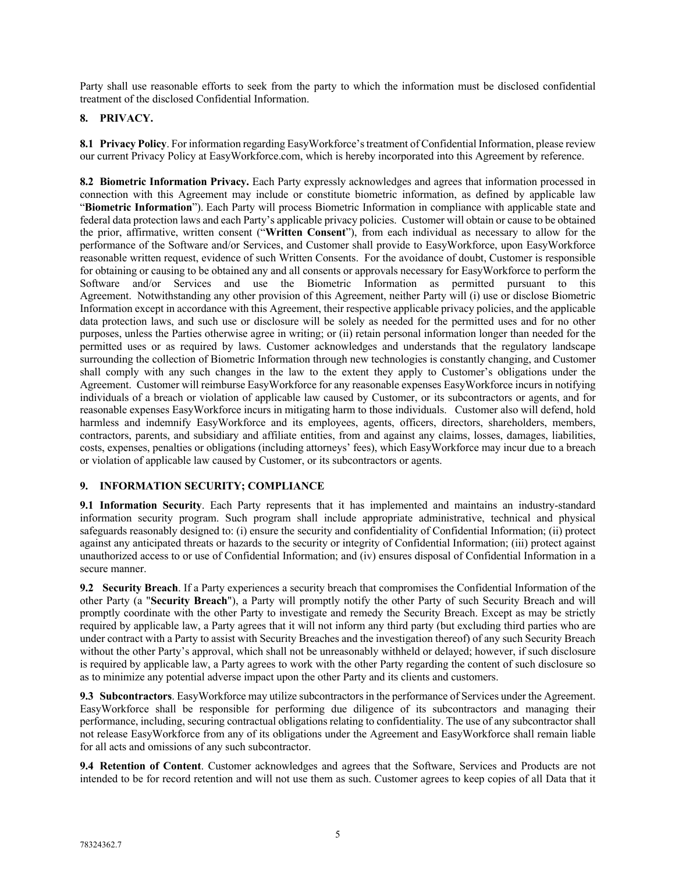Party shall use reasonable efforts to seek from the party to which the information must be disclosed confidential treatment of the disclosed Confidential Information.

#### **8. PRIVACY.**

**8.1 Privacy Policy**. For information regarding EasyWorkforce's treatment of Confidential Information, please review our current Privacy Policy at EasyWorkforce.com, which is hereby incorporated into this Agreement by reference.

**8.2 Biometric Information Privacy.** Each Party expressly acknowledges and agrees that information processed in connection with this Agreement may include or constitute biometric information, as defined by applicable law "**Biometric Information**"). Each Party will process Biometric Information in compliance with applicable state and federal data protection laws and each Party's applicable privacy policies. Customer will obtain or cause to be obtained the prior, affirmative, written consent ("**Written Consent**"), from each individual as necessary to allow for the performance of the Software and/or Services, and Customer shall provide to EasyWorkforce, upon EasyWorkforce reasonable written request, evidence of such Written Consents. For the avoidance of doubt, Customer is responsible for obtaining or causing to be obtained any and all consents or approvals necessary for EasyWorkforce to perform the Software and/or Services and use the Biometric Information as permitted pursuant to this Agreement. Notwithstanding any other provision of this Agreement, neither Party will (i) use or disclose Biometric Information except in accordance with this Agreement, their respective applicable privacy policies, and the applicable data protection laws, and such use or disclosure will be solely as needed for the permitted uses and for no other purposes, unless the Parties otherwise agree in writing; or (ii) retain personal information longer than needed for the permitted uses or as required by laws. Customer acknowledges and understands that the regulatory landscape surrounding the collection of Biometric Information through new technologies is constantly changing, and Customer shall comply with any such changes in the law to the extent they apply to Customer's obligations under the Agreement. Customer will reimburse EasyWorkforce for any reasonable expenses EasyWorkforce incurs in notifying individuals of a breach or violation of applicable law caused by Customer, or its subcontractors or agents, and for reasonable expenses EasyWorkforce incurs in mitigating harm to those individuals. Customer also will defend, hold harmless and indemnify EasyWorkforce and its employees, agents, officers, directors, shareholders, members, contractors, parents, and subsidiary and affiliate entities, from and against any claims, losses, damages, liabilities, costs, expenses, penalties or obligations (including attorneys' fees), which EasyWorkforce may incur due to a breach or violation of applicable law caused by Customer, or its subcontractors or agents.

#### **9. INFORMATION SECURITY; COMPLIANCE**

**9.1 Information Security**. Each Party represents that it has implemented and maintains an industry-standard information security program. Such program shall include appropriate administrative, technical and physical safeguards reasonably designed to: (i) ensure the security and confidentiality of Confidential Information; (ii) protect against any anticipated threats or hazards to the security or integrity of Confidential Information; (iii) protect against unauthorized access to or use of Confidential Information; and (iv) ensures disposal of Confidential Information in a secure manner.

**9.2 Security Breach**. If a Party experiences a security breach that compromises the Confidential Information of the other Party (a "**Security Breach**"), a Party will promptly notify the other Party of such Security Breach and will promptly coordinate with the other Party to investigate and remedy the Security Breach. Except as may be strictly required by applicable law, a Party agrees that it will not inform any third party (but excluding third parties who are under contract with a Party to assist with Security Breaches and the investigation thereof) of any such Security Breach without the other Party's approval, which shall not be unreasonably withheld or delayed; however, if such disclosure is required by applicable law, a Party agrees to work with the other Party regarding the content of such disclosure so as to minimize any potential adverse impact upon the other Party and its clients and customers.

**9.3 Subcontractors**. EasyWorkforce may utilize subcontractors in the performance of Services under the Agreement. EasyWorkforce shall be responsible for performing due diligence of its subcontractors and managing their performance, including, securing contractual obligations relating to confidentiality. The use of any subcontractor shall not release EasyWorkforce from any of its obligations under the Agreement and EasyWorkforce shall remain liable for all acts and omissions of any such subcontractor.

**9.4 Retention of Content**. Customer acknowledges and agrees that the Software, Services and Products are not intended to be for record retention and will not use them as such. Customer agrees to keep copies of all Data that it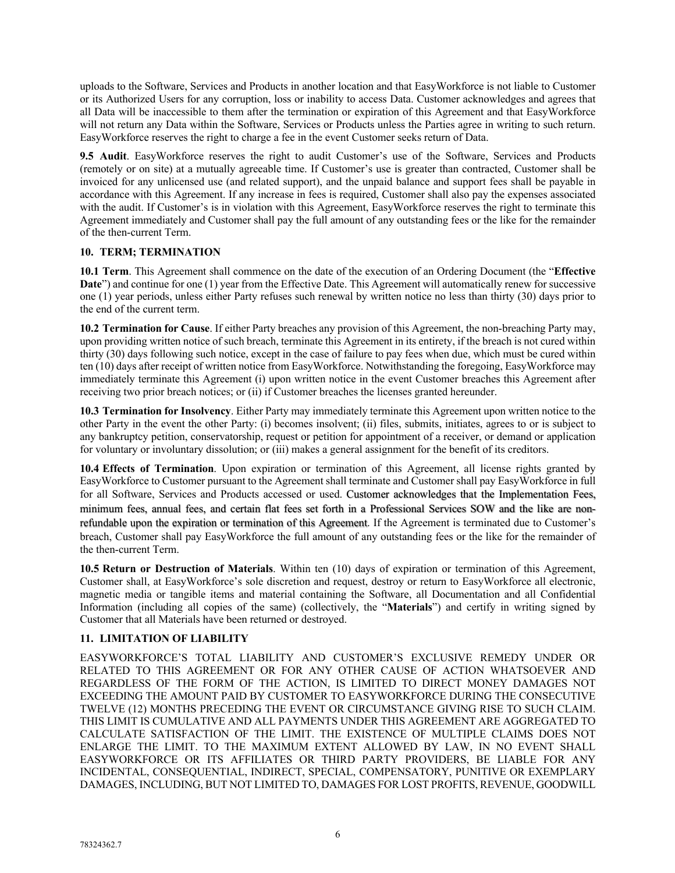uploads to the Software, Services and Products in another location and that EasyWorkforce is not liable to Customer or its Authorized Users for any corruption, loss or inability to access Data. Customer acknowledges and agrees that all Data will be inaccessible to them after the termination or expiration of this Agreement and that EasyWorkforce will not return any Data within the Software, Services or Products unless the Parties agree in writing to such return. EasyWorkforce reserves the right to charge a fee in the event Customer seeks return of Data.

**9.5 Audit**. EasyWorkforce reserves the right to audit Customer's use of the Software, Services and Products (remotely or on site) at a mutually agreeable time. If Customer's use is greater than contracted, Customer shall be invoiced for any unlicensed use (and related support), and the unpaid balance and support fees shall be payable in accordance with this Agreement. If any increase in fees is required, Customer shall also pay the expenses associated with the audit. If Customer's is in violation with this Agreement, EasyWorkforce reserves the right to terminate this Agreement immediately and Customer shall pay the full amount of any outstanding fees or the like for the remainder of the then-current Term.

### **10. TERM; TERMINATION**

**10.1 Term**. This Agreement shall commence on the date of the execution of an Ordering Document (the "**Effective Date**") and continue for one (1) year from the Effective Date. This Agreement will automatically renew for successive one (1) year periods, unless either Party refuses such renewal by written notice no less than thirty (30) days prior to the end of the current term.

**10.2 Termination for Cause**. If either Party breaches any provision of this Agreement, the non-breaching Party may, upon providing written notice of such breach, terminate this Agreement in its entirety, if the breach is not cured within thirty (30) days following such notice, except in the case of failure to pay fees when due, which must be cured within ten (10) days after receipt of written notice from EasyWorkforce. Notwithstanding the foregoing, EasyWorkforce may immediately terminate this Agreement (i) upon written notice in the event Customer breaches this Agreement after receiving two prior breach notices; or (ii) if Customer breaches the licenses granted hereunder.

**10.3 Termination for Insolvency**. Either Party may immediately terminate this Agreement upon written notice to the other Party in the event the other Party: (i) becomes insolvent; (ii) files, submits, initiates, agrees to or is subject to any bankruptcy petition, conservatorship, request or petition for appointment of a receiver, or demand or application for voluntary or involuntary dissolution; or (iii) makes a general assignment for the benefit of its creditors.

**10.4 Effects of Termination**. Upon expiration or termination of this Agreement, all license rights granted by EasyWorkforce to Customer pursuant to the Agreement shall terminate and Customer shall pay EasyWorkforce in full for all Software, Services and Products accessed or used. Customer acknowledges that the Implementation Fees, minimum fees, annual fees, and certain flat fees set forth in a Professional Services SOW and the like are nonrefundable upon the expiration or termination of this Agreement. If the Agreement is terminated due to Customer's breach, Customer shall pay EasyWorkforce the full amount of any outstanding fees or the like for the remainder of the then-current Term.

**10.5 Return or Destruction of Materials**. Within ten (10) days of expiration or termination of this Agreement, Customer shall, at EasyWorkforce's sole discretion and request, destroy or return to EasyWorkforce all electronic, magnetic media or tangible items and material containing the Software, all Documentation and all Confidential Information (including all copies of the same) (collectively, the "**Materials**") and certify in writing signed by Customer that all Materials have been returned or destroyed.

# **11. LIMITATION OF LIABILITY**

EASYWORKFORCE'S TOTAL LIABILITY AND CUSTOMER'S EXCLUSIVE REMEDY UNDER OR RELATED TO THIS AGREEMENT OR FOR ANY OTHER CAUSE OF ACTION WHATSOEVER AND REGARDLESS OF THE FORM OF THE ACTION, IS LIMITED TO DIRECT MONEY DAMAGES NOT EXCEEDING THE AMOUNT PAID BY CUSTOMER TO EASYWORKFORCE DURING THE CONSECUTIVE TWELVE (12) MONTHS PRECEDING THE EVENT OR CIRCUMSTANCE GIVING RISE TO SUCH CLAIM. THIS LIMIT IS CUMULATIVE AND ALL PAYMENTS UNDER THIS AGREEMENT ARE AGGREGATED TO CALCULATE SATISFACTION OF THE LIMIT. THE EXISTENCE OF MULTIPLE CLAIMS DOES NOT ENLARGE THE LIMIT. TO THE MAXIMUM EXTENT ALLOWED BY LAW, IN NO EVENT SHALL EASYWORKFORCE OR ITS AFFILIATES OR THIRD PARTY PROVIDERS, BE LIABLE FOR ANY INCIDENTAL, CONSEQUENTIAL, INDIRECT, SPECIAL, COMPENSATORY, PUNITIVE OR EXEMPLARY DAMAGES, INCLUDING, BUT NOT LIMITED TO, DAMAGES FOR LOST PROFITS, REVENUE, GOODWILL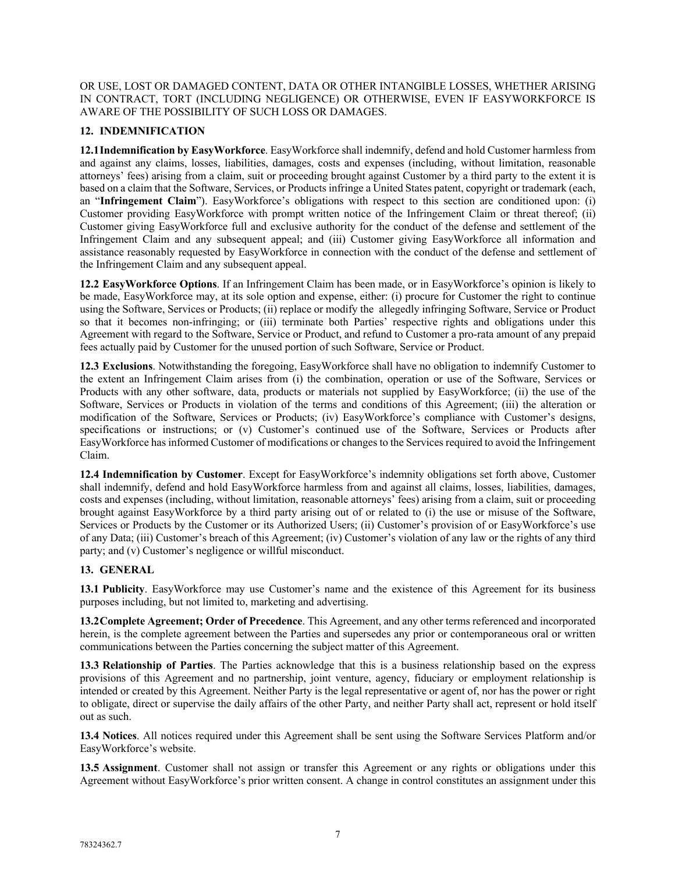OR USE, LOST OR DAMAGED CONTENT, DATA OR OTHER INTANGIBLE LOSSES, WHETHER ARISING IN CONTRACT, TORT (INCLUDING NEGLIGENCE) OR OTHERWISE, EVEN IF EASYWORKFORCE IS AWARE OF THE POSSIBILITY OF SUCH LOSS OR DAMAGES.

# **12. INDEMNIFICATION**

**12.1Indemnification by EasyWorkforce**. EasyWorkforce shall indemnify, defend and hold Customer harmless from and against any claims, losses, liabilities, damages, costs and expenses (including, without limitation, reasonable attorneys' fees) arising from a claim, suit or proceeding brought against Customer by a third party to the extent it is based on a claim that the Software, Services, or Products infringe a United States patent, copyright or trademark (each, an "**Infringement Claim**"). EasyWorkforce's obligations with respect to this section are conditioned upon: (i) Customer providing EasyWorkforce with prompt written notice of the Infringement Claim or threat thereof; (ii) Customer giving EasyWorkforce full and exclusive authority for the conduct of the defense and settlement of the Infringement Claim and any subsequent appeal; and (iii) Customer giving EasyWorkforce all information and assistance reasonably requested by EasyWorkforce in connection with the conduct of the defense and settlement of the Infringement Claim and any subsequent appeal.

**12.2 EasyWorkforce Options**. If an Infringement Claim has been made, or in EasyWorkforce's opinion is likely to be made, EasyWorkforce may, at its sole option and expense, either: (i) procure for Customer the right to continue using the Software, Services or Products; (ii) replace or modify the allegedly infringing Software, Service or Product so that it becomes non-infringing; or (iii) terminate both Parties' respective rights and obligations under this Agreement with regard to the Software, Service or Product, and refund to Customer a pro-rata amount of any prepaid fees actually paid by Customer for the unused portion of such Software, Service or Product.

**12.3 Exclusions**. Notwithstanding the foregoing, EasyWorkforce shall have no obligation to indemnify Customer to the extent an Infringement Claim arises from (i) the combination, operation or use of the Software, Services or Products with any other software, data, products or materials not supplied by EasyWorkforce; (ii) the use of the Software, Services or Products in violation of the terms and conditions of this Agreement; (iii) the alteration or modification of the Software, Services or Products; (iv) EasyWorkforce's compliance with Customer's designs, specifications or instructions; or (v) Customer's continued use of the Software, Services or Products after EasyWorkforce has informed Customer of modifications or changes to the Services required to avoid the Infringement Claim.

**12.4 Indemnification by Customer**. Except for EasyWorkforce's indemnity obligations set forth above, Customer shall indemnify, defend and hold EasyWorkforce harmless from and against all claims, losses, liabilities, damages, costs and expenses (including, without limitation, reasonable attorneys' fees) arising from a claim, suit or proceeding brought against EasyWorkforce by a third party arising out of or related to (i) the use or misuse of the Software, Services or Products by the Customer or its Authorized Users; (ii) Customer's provision of or EasyWorkforce's use of any Data; (iii) Customer's breach of this Agreement; (iv) Customer's violation of any law or the rights of any third party; and (v) Customer's negligence or willful misconduct.

#### **13. GENERAL**

**13.1 Publicity**. EasyWorkforce may use Customer's name and the existence of this Agreement for its business purposes including, but not limited to, marketing and advertising.

**13.2Complete Agreement; Order of Precedence**. This Agreement, and any other terms referenced and incorporated herein, is the complete agreement between the Parties and supersedes any prior or contemporaneous oral or written communications between the Parties concerning the subject matter of this Agreement.

**13.3 Relationship of Parties**. The Parties acknowledge that this is a business relationship based on the express provisions of this Agreement and no partnership, joint venture, agency, fiduciary or employment relationship is intended or created by this Agreement. Neither Party is the legal representative or agent of, nor has the power or right to obligate, direct or supervise the daily affairs of the other Party, and neither Party shall act, represent or hold itself out as such.

**13.4 Notices**. All notices required under this Agreement shall be sent using the Software Services Platform and/or EasyWorkforce's website.

**13.5 Assignment**. Customer shall not assign or transfer this Agreement or any rights or obligations under this Agreement without EasyWorkforce's prior written consent. A change in control constitutes an assignment under this